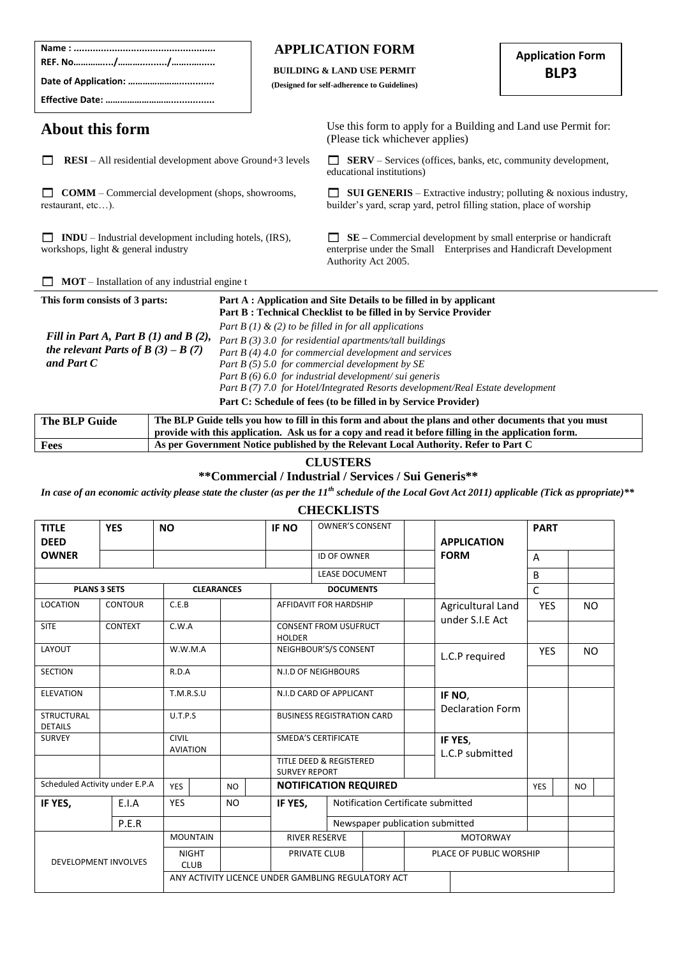|                                                                                                                                                                                       |  |  | <b>APPLICATION FORM</b><br><b>BUILDING &amp; LAND USE PERMIT</b><br>(Designed for self-adherence to Guidelines)                                                                                                                                                                                                                                                                                                                                                                                                                                                                           |                                                                                                                                                                                                                                                                                                                                                                                                             | <b>Application Form</b><br>BLP3 |  |  |
|---------------------------------------------------------------------------------------------------------------------------------------------------------------------------------------|--|--|-------------------------------------------------------------------------------------------------------------------------------------------------------------------------------------------------------------------------------------------------------------------------------------------------------------------------------------------------------------------------------------------------------------------------------------------------------------------------------------------------------------------------------------------------------------------------------------------|-------------------------------------------------------------------------------------------------------------------------------------------------------------------------------------------------------------------------------------------------------------------------------------------------------------------------------------------------------------------------------------------------------------|---------------------------------|--|--|
| About this form                                                                                                                                                                       |  |  |                                                                                                                                                                                                                                                                                                                                                                                                                                                                                                                                                                                           | Use this form to apply for a Building and Land use Permit for:<br>(Please tick whichever applies)                                                                                                                                                                                                                                                                                                           |                                 |  |  |
| <b>RESI</b> – All residential development above Ground+3 levels                                                                                                                       |  |  |                                                                                                                                                                                                                                                                                                                                                                                                                                                                                                                                                                                           | <b>SERV</b> – Services (offices, banks, etc, community development,<br>educational institutions)                                                                                                                                                                                                                                                                                                            |                                 |  |  |
| <b>COMM</b> – Commercial development (shops, showrooms,<br>restaurant, etc).                                                                                                          |  |  |                                                                                                                                                                                                                                                                                                                                                                                                                                                                                                                                                                                           | <b>SUI GENERIS</b> – Extractive industry; polluting $\&$ noxious industry,<br>builder's yard, scrap yard, petrol filling station, place of worship                                                                                                                                                                                                                                                          |                                 |  |  |
| INDU - Industrial development including hotels, (IRS),<br>workshops, light & general industry                                                                                         |  |  |                                                                                                                                                                                                                                                                                                                                                                                                                                                                                                                                                                                           | SE - Commercial development by small enterprise or handicraft<br>enterprise under the Small Enterprises and Handicraft Development<br>Authority Act 2005.                                                                                                                                                                                                                                                   |                                 |  |  |
|                                                                                                                                                                                       |  |  |                                                                                                                                                                                                                                                                                                                                                                                                                                                                                                                                                                                           |                                                                                                                                                                                                                                                                                                                                                                                                             |                                 |  |  |
| $MOT$ – Installation of any industrial engine t<br>This form consists of 3 parts:<br>Fill in Part A, Part B $(1)$ and B $(2)$ ,<br>the relevant Parts of B $(3) - B(7)$<br>and Part C |  |  | Part A : Application and Site Details to be filled in by applicant<br>Part B: Technical Checklist to be filled in by Service Provider<br>Part B (1) & (2) to be filled in for all applications<br>Part $B(3)$ 3.0 for residential apartments/tall buildings<br>Part B (4) 4.0 for commercial development and services<br>Part $B$ (5) 5.0 for commercial development by SE<br>Part $B(6)$ 6.0 for industrial development/sui generis<br>Part B (7) 7.0 for Hotel/Integrated Resorts development/Real Estate development<br>Part C: Schedule of fees (to be filled in by Service Provider) |                                                                                                                                                                                                                                                                                                                                                                                                             |                                 |  |  |
| <b>The BLP Guide</b>                                                                                                                                                                  |  |  |                                                                                                                                                                                                                                                                                                                                                                                                                                                                                                                                                                                           | The BLP Guide tells you how to fill in this form and about the plans and other documents that you must<br>provide with this application. Ask us for a copy and read it before filling in the application form.                                                                                                                                                                                              |                                 |  |  |
| Fees                                                                                                                                                                                  |  |  |                                                                                                                                                                                                                                                                                                                                                                                                                                                                                                                                                                                           | As per Government Notice published by the Relevant Local Authority. Refer to Part C                                                                                                                                                                                                                                                                                                                         |                                 |  |  |
|                                                                                                                                                                                       |  |  |                                                                                                                                                                                                                                                                                                                                                                                                                                                                                                                                                                                           | <b>CLUSTERS</b><br>** Commercial / Industrial / Services / Sui Generis**<br>$\mathcal{L}$ , $\mathcal{L}$ , $\mathcal{L}$ , $\mathcal{L}$ , $\mathcal{L}$ , $\mathcal{L}$ , $\mathcal{L}$ , $\mathcal{L}$ , $\mathcal{L}$ , $\mathcal{L}$ , $\mathcal{L}$ , $\mathcal{L}$ , $\mathcal{L}$ , $\mathcal{L}$ , $\mathcal{L}$ , $\mathcal{L}$ , $\mathcal{L}$ , $\mathcal{L}$ , $\mathcal{L}$ , $\mathcal{L}$ , |                                 |  |  |

 $\overline{a}$ 

*In case of an economic activity please state the cluster (as per the 11th schedule of the Local Govt Act 2011) applicable (Tick as ppropriate)\*\**

#### **CHECKLISTS**

| <b>TITLE</b><br><b>DEED</b>         | <b>YES</b>                  | <b>NO</b>                       |                   | <b>IF NO</b>                                       | <b>OWNER'S CONSENT</b>             |                            | <b>APPLICATION</b>                   |              | <b>PART</b>    |           |            |           |  |
|-------------------------------------|-----------------------------|---------------------------------|-------------------|----------------------------------------------------|------------------------------------|----------------------------|--------------------------------------|--------------|----------------|-----------|------------|-----------|--|
| <b>OWNER</b>                        |                             |                                 |                   |                                                    | <b>ID OF OWNER</b>                 |                            | <b>FORM</b>                          | A            |                |           |            |           |  |
|                                     |                             |                                 |                   |                                                    | <b>LEASE DOCUMENT</b>              |                            |                                      | B            |                |           |            |           |  |
|                                     | <b>PLANS 3 SETS</b>         |                                 | <b>CLEARANCES</b> |                                                    | <b>DOCUMENTS</b>                   |                            |                                      | $\mathsf{C}$ |                |           |            |           |  |
| <b>LOCATION</b>                     | <b>CONTOUR</b>              | C.E.B                           |                   |                                                    | AFFIDAVIT FOR HARDSHIP             |                            | Agricultural Land<br>under S.I.E Act |              | <b>YES</b>     | <b>NO</b> |            |           |  |
| <b>SITE</b>                         | <b>CONTEXT</b>              | C.W.A                           |                   | <b>HOLDER</b>                                      | <b>CONSENT FROM USUFRUCT</b>       |                            |                                      |              |                |           |            |           |  |
| LAYOUT                              |                             | W.W.M.A                         |                   |                                                    |                                    |                            | NEIGHBOUR'S/S CONSENT                |              | L.C.P required |           | <b>YES</b> | <b>NO</b> |  |
| <b>SECTION</b>                      |                             | R.D.A                           |                   |                                                    | <b>N.I.D OF NEIGHBOURS</b>         |                            |                                      |              |                |           |            |           |  |
| <b>ELEVATION</b>                    |                             | T.M.R.S.U                       |                   |                                                    | N.I.D CARD OF APPLICANT            |                            | IF NO,                               |              |                |           |            |           |  |
| <b>STRUCTURAL</b><br><b>DETAILS</b> |                             | U.T.P.S                         |                   |                                                    | <b>BUSINESS REGISTRATION CARD</b>  |                            | <b>Declaration Form</b>              |              |                |           |            |           |  |
| <b>SURVEY</b>                       |                             | <b>CIVIL</b><br><b>AVIATION</b> |                   |                                                    | <b>SMEDA'S CERTIFICATE</b>         | IF YES,<br>L.C.P submitted |                                      |              |                |           |            |           |  |
|                                     |                             |                                 |                   | <b>SURVEY REPORT</b>                               | <b>TITLE DEED &amp; REGISTERED</b> |                            |                                      |              |                |           |            |           |  |
| Scheduled Activity under E.P.A      |                             | <b>YES</b>                      | <b>NO</b>         |                                                    | <b>NOTIFICATION REQUIRED</b>       |                            |                                      | <b>YES</b>   |                | NO.       |            |           |  |
| IF YES,                             | E.I.A                       | <b>YES</b>                      | <b>NO</b>         | IF YES,                                            |                                    |                            | Notification Certificate submitted   |              |                |           |            |           |  |
|                                     | P.E.R                       |                                 |                   |                                                    |                                    |                            | Newspaper publication submitted      |              |                |           |            |           |  |
|                                     |                             | <b>MOUNTAIN</b>                 |                   |                                                    | <b>RIVER RESERVE</b>               |                            | <b>MOTORWAY</b>                      |              |                |           |            |           |  |
|                                     | <b>DEVELOPMENT INVOLVES</b> | <b>NIGHT</b><br><b>CLUB</b>     |                   |                                                    | PRIVATE CLUB                       | PLACE OF PUBLIC WORSHIP    |                                      |              |                |           |            |           |  |
|                                     |                             |                                 |                   | ANY ACTIVITY LICENCE UNDER GAMBLING REGULATORY ACT |                                    |                            |                                      |              |                |           |            |           |  |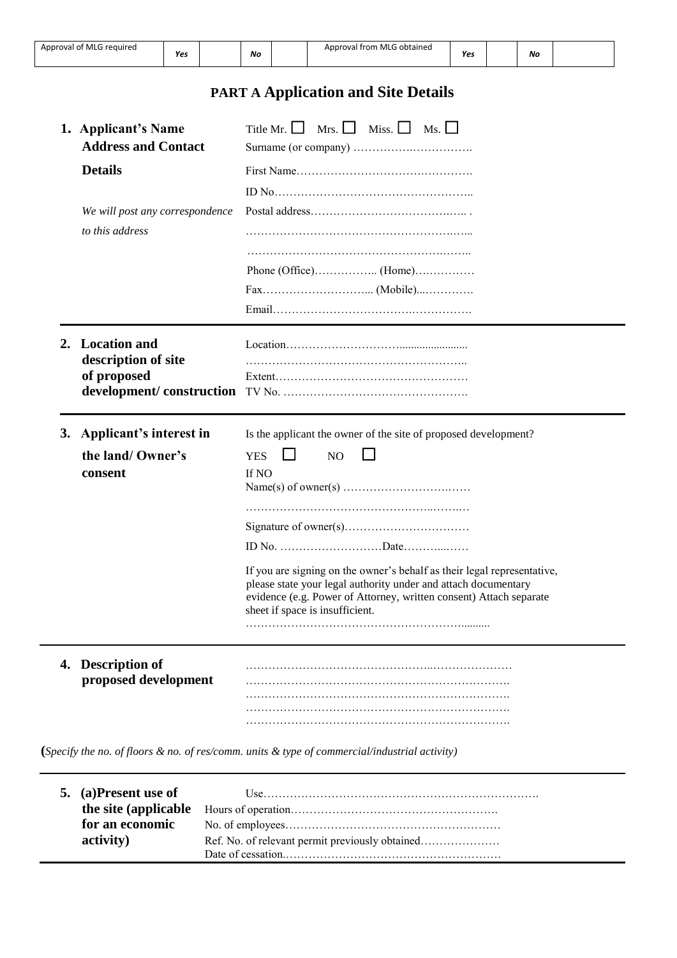| <b>PART A Application and Site Details</b> |  |
|--------------------------------------------|--|

| 1. Applicant's Name<br><b>Address and Contact</b> | Title Mr. $\Box$ Mrs. $\Box$ Miss. $\Box$ Ms. $\Box$                                                                                 |
|---------------------------------------------------|--------------------------------------------------------------------------------------------------------------------------------------|
| <b>Details</b>                                    |                                                                                                                                      |
|                                                   |                                                                                                                                      |
| We will post any correspondence                   |                                                                                                                                      |
| to this address                                   |                                                                                                                                      |
|                                                   |                                                                                                                                      |
|                                                   |                                                                                                                                      |
|                                                   |                                                                                                                                      |
|                                                   |                                                                                                                                      |
| 2. Location and                                   |                                                                                                                                      |
| description of site                               |                                                                                                                                      |
| of proposed                                       |                                                                                                                                      |
| development/construction                          |                                                                                                                                      |
| 3. Applicant's interest in                        | Is the applicant the owner of the site of proposed development?                                                                      |
| the land/ Owner's                                 | <b>YES</b><br>N <sub>O</sub>                                                                                                         |
| consent                                           | If NO                                                                                                                                |
|                                                   |                                                                                                                                      |
|                                                   |                                                                                                                                      |
|                                                   |                                                                                                                                      |
|                                                   |                                                                                                                                      |
|                                                   | If you are signing on the owner's behalf as their legal representative,                                                              |
|                                                   | please state your legal authority under and attach documentary<br>evidence (e.g. Power of Attorney, written consent) Attach separate |
|                                                   | sheet if space is insufficient.                                                                                                      |
|                                                   |                                                                                                                                      |
| 4. Description of                                 |                                                                                                                                      |
| proposed development                              |                                                                                                                                      |
|                                                   |                                                                                                                                      |
|                                                   |                                                                                                                                      |

| 5. (a)Present use of |  |
|----------------------|--|
|                      |  |
| for an economic      |  |
| activity)            |  |
|                      |  |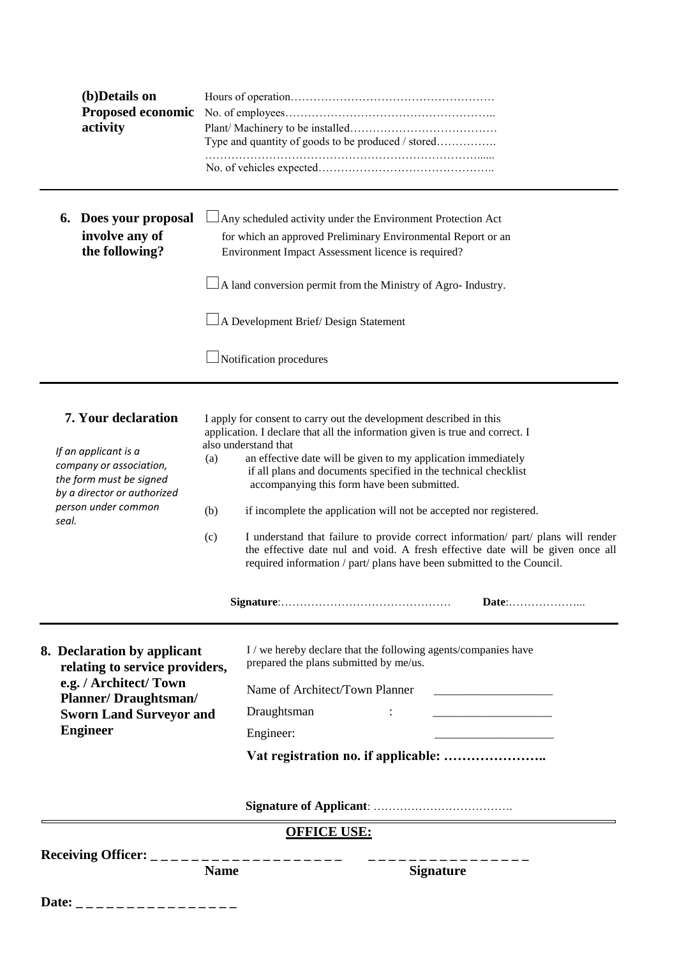| (b)Details on<br>Proposed economic<br>activity                                                            |             | Type and quantity of goods to be produced / stored                                                                                                                                                                                                                                                                  |
|-----------------------------------------------------------------------------------------------------------|-------------|---------------------------------------------------------------------------------------------------------------------------------------------------------------------------------------------------------------------------------------------------------------------------------------------------------------------|
|                                                                                                           |             |                                                                                                                                                                                                                                                                                                                     |
| 6. Does your proposal<br>involve any of<br>the following?                                                 |             | Any scheduled activity under the Environment Protection Act<br>for which an approved Preliminary Environmental Report or an<br>Environment Impact Assessment licence is required?<br>$\Box$ A land conversion permit from the Ministry of Agro- Industry.                                                           |
|                                                                                                           |             | $\Box$ A Development Brief/Design Statement<br>Notification procedures                                                                                                                                                                                                                                              |
| 7. Your declaration                                                                                       |             | I apply for consent to carry out the development described in this<br>application. I declare that all the information given is true and correct. I                                                                                                                                                                  |
| If an applicant is a<br>company or association,<br>the form must be signed<br>by a director or authorized | (a)         | also understand that<br>an effective date will be given to my application immediately<br>if all plans and documents specified in the technical checklist<br>accompanying this form have been submitted.                                                                                                             |
| person under common<br>seal.                                                                              | (b)<br>(c)  | if incomplete the application will not be accepted nor registered.<br>I understand that failure to provide correct information/ part/ plans will render<br>the effective date nul and void. A fresh effective date will be given once all<br>required information / part/ plans have been submitted to the Council. |
|                                                                                                           |             | Date:                                                                                                                                                                                                                                                                                                               |
| 8. Declaration by applicant<br>relating to service providers,                                             |             | I / we hereby declare that the following agents/companies have<br>prepared the plans submitted by me/us.                                                                                                                                                                                                            |
| e.g. / Architect/ Town<br><b>Planner/Draughtsman/</b>                                                     |             | Name of Architect/Town Planner                                                                                                                                                                                                                                                                                      |
| <b>Sworn Land Surveyor and</b>                                                                            |             | Draughtsman<br>$\mathbb{Z}^{\times}$<br><u> 1989 - Johann Barbara, martin amerikan basar dan bagi dan basar dalam basar dalam basar dalam basar dalam basa</u>                                                                                                                                                      |
| <b>Engineer</b>                                                                                           |             | Engineer:                                                                                                                                                                                                                                                                                                           |
|                                                                                                           |             |                                                                                                                                                                                                                                                                                                                     |
|                                                                                                           |             |                                                                                                                                                                                                                                                                                                                     |
|                                                                                                           |             | <b>OFFICE USE:</b>                                                                                                                                                                                                                                                                                                  |
|                                                                                                           | <b>Name</b> | <b>Signature</b>                                                                                                                                                                                                                                                                                                    |
| Date:                                                                                                     |             |                                                                                                                                                                                                                                                                                                                     |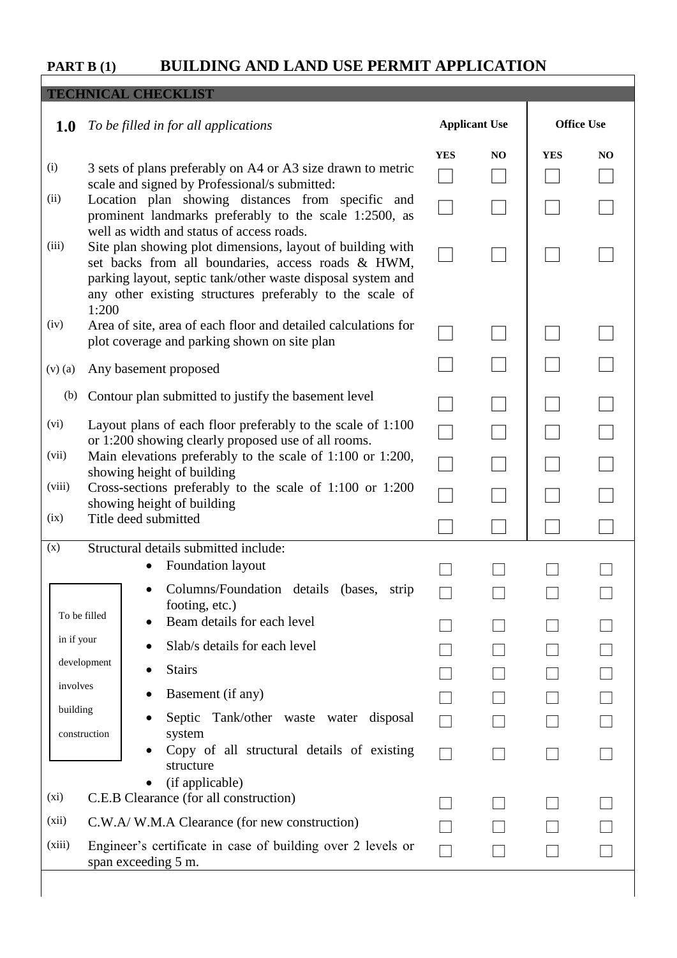## **PART B (1)****BUILDING AND LAND USE PERMIT APPLICATION**

|             | <b>TECHNICAL CHECKLIST</b>                                                                                                                                                                                                                                                                                                                                  |            |                      |            |                   |
|-------------|-------------------------------------------------------------------------------------------------------------------------------------------------------------------------------------------------------------------------------------------------------------------------------------------------------------------------------------------------------------|------------|----------------------|------------|-------------------|
| 1.0         | To be filled in for all applications                                                                                                                                                                                                                                                                                                                        |            | <b>Applicant Use</b> |            | <b>Office Use</b> |
| (i)<br>(ii) | 3 sets of plans preferably on A4 or A3 size drawn to metric<br>scale and signed by Professional/s submitted:<br>Location plan showing distances from specific and                                                                                                                                                                                           | <b>YES</b> | NO                   | <b>YES</b> | NO                |
| (iii)       | prominent landmarks preferably to the scale 1:2500, as<br>well as width and status of access roads.<br>Site plan showing plot dimensions, layout of building with<br>set backs from all boundaries, access roads & HWM,<br>parking layout, septic tank/other waste disposal system and<br>any other existing structures preferably to the scale of<br>1:200 |            |                      |            |                   |
| (iv)        | Area of site, area of each floor and detailed calculations for<br>plot coverage and parking shown on site plan                                                                                                                                                                                                                                              |            |                      |            |                   |
| $(v)$ $(a)$ | Any basement proposed                                                                                                                                                                                                                                                                                                                                       |            |                      |            |                   |
| (b)         | Contour plan submitted to justify the basement level                                                                                                                                                                                                                                                                                                        |            |                      |            |                   |
| (vi)        | Layout plans of each floor preferably to the scale of 1:100                                                                                                                                                                                                                                                                                                 |            |                      |            |                   |
| (vii)       | or 1:200 showing clearly proposed use of all rooms.<br>Main elevations preferably to the scale of 1:100 or 1:200,<br>showing height of building                                                                                                                                                                                                             |            |                      |            |                   |
| (viii)      | Cross-sections preferably to the scale of 1:100 or 1:200<br>showing height of building                                                                                                                                                                                                                                                                      |            |                      |            |                   |
| (ix)        | Title deed submitted                                                                                                                                                                                                                                                                                                                                        |            |                      |            |                   |
| (x)         | Structural details submitted include:<br>Foundation layout                                                                                                                                                                                                                                                                                                  |            |                      |            |                   |
|             | Columns/Foundation details (bases, strip                                                                                                                                                                                                                                                                                                                    |            |                      |            |                   |
|             | footing, etc.)<br>To be filled<br>Beam details for each level                                                                                                                                                                                                                                                                                               |            |                      |            |                   |
| in if your  | Slab/s details for each level                                                                                                                                                                                                                                                                                                                               |            |                      |            |                   |
| involves    | development<br><b>Stairs</b>                                                                                                                                                                                                                                                                                                                                |            |                      |            |                   |
| building    | Basement (if any)                                                                                                                                                                                                                                                                                                                                           |            |                      |            |                   |
|             | Septic Tank/other waste water disposal<br>system<br>construction                                                                                                                                                                                                                                                                                            |            |                      |            |                   |
|             | Copy of all structural details of existing<br>structure<br>(if applicable)                                                                                                                                                                                                                                                                                  |            |                      |            |                   |
| (xi)        | C.E.B Clearance (for all construction)                                                                                                                                                                                                                                                                                                                      |            |                      |            |                   |
| (xii)       | C.W.A/W.M.A Clearance (for new construction)                                                                                                                                                                                                                                                                                                                |            |                      |            |                   |
| (xiii)      | Engineer's certificate in case of building over 2 levels or<br>span exceeding 5 m.                                                                                                                                                                                                                                                                          |            |                      |            |                   |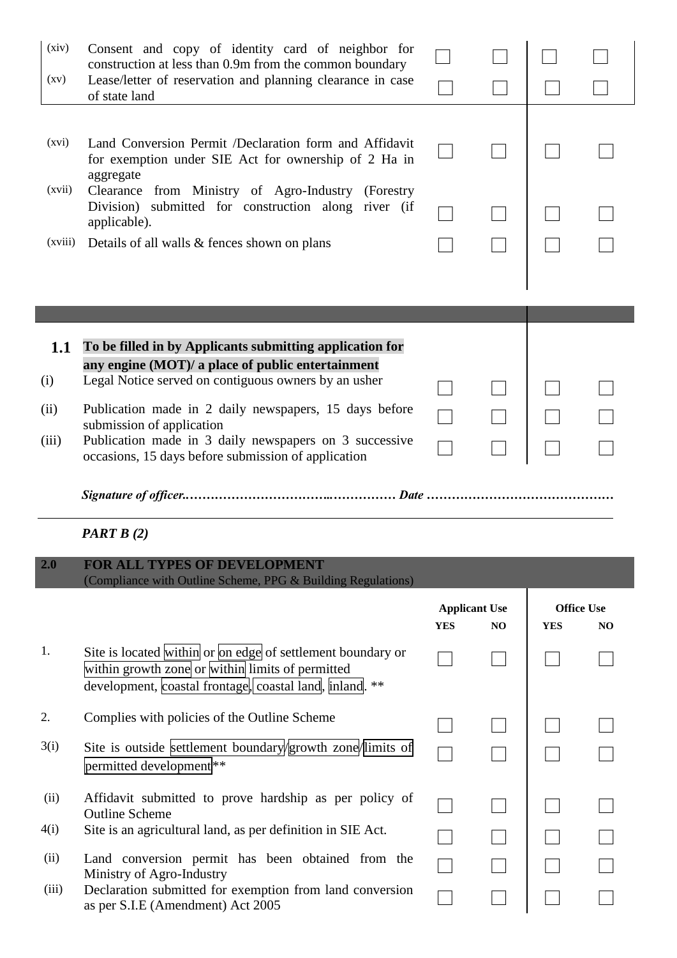| (xiv)<br>$\left( xy\right)$ | Consent and copy of identity card of neighbor for<br>construction at less than 0.9m from the common boundary<br>Lease/letter of reservation and planning clearance in case<br>of state land                                                                                                                                                                                   |            |                            |            |                                     |
|-----------------------------|-------------------------------------------------------------------------------------------------------------------------------------------------------------------------------------------------------------------------------------------------------------------------------------------------------------------------------------------------------------------------------|------------|----------------------------|------------|-------------------------------------|
| (xvi)<br>(xvii)<br>(xviii)  | Land Conversion Permit /Declaration form and Affidavit<br>for exemption under SIE Act for ownership of 2 Ha in<br>aggregate<br>Clearance from Ministry of Agro-Industry (Forestry<br>Division) submitted for construction along river (if<br>applicable).<br>Details of all walls & fences shown on plans                                                                     |            |                            |            |                                     |
|                             |                                                                                                                                                                                                                                                                                                                                                                               |            |                            |            |                                     |
| 1.1<br>(i)<br>(ii)<br>(iii) | To be filled in by Applicants submitting application for<br>any engine (MOT)/ a place of public entertainment<br>Legal Notice served on contiguous owners by an usher<br>Publication made in 2 daily newspapers, 15 days before<br>submission of application<br>Publication made in 3 daily newspapers on 3 successive<br>occasions, 15 days before submission of application |            |                            |            |                                     |
|                             |                                                                                                                                                                                                                                                                                                                                                                               |            |                            |            |                                     |
|                             |                                                                                                                                                                                                                                                                                                                                                                               |            |                            |            |                                     |
|                             | <b>PART B</b> $(2)$                                                                                                                                                                                                                                                                                                                                                           |            |                            |            |                                     |
| 2.0                         | <b>FOR ALL TYPES OF DEVELOPMENT</b>                                                                                                                                                                                                                                                                                                                                           |            |                            |            |                                     |
|                             | (Compliance with Outline Scheme, PPG & Building Regulations)                                                                                                                                                                                                                                                                                                                  | <b>YES</b> | <b>Applicant Use</b><br>NO | <b>YES</b> | <b>Office Use</b><br>N <sub>O</sub> |
| 1.                          | Site is located within or on edge of settlement boundary or<br>within growth zone or within limits of permitted<br>development, coastal frontage, coastal land, inland. **                                                                                                                                                                                                    |            |                            |            |                                     |
| 2.                          | Complies with policies of the Outline Scheme                                                                                                                                                                                                                                                                                                                                  |            |                            |            |                                     |
| 3(i)                        | Site is outside settlement boundary growth zone limits of<br>permitted development <sup>**</sup>                                                                                                                                                                                                                                                                              |            |                            |            |                                     |
| (ii)                        | Affidavit submitted to prove hardship as per policy of<br><b>Outline Scheme</b>                                                                                                                                                                                                                                                                                               |            |                            |            |                                     |
| 4(i)<br>(ii)                | Site is an agricultural land, as per definition in SIE Act.<br>Land conversion permit has been obtained from the                                                                                                                                                                                                                                                              |            |                            |            |                                     |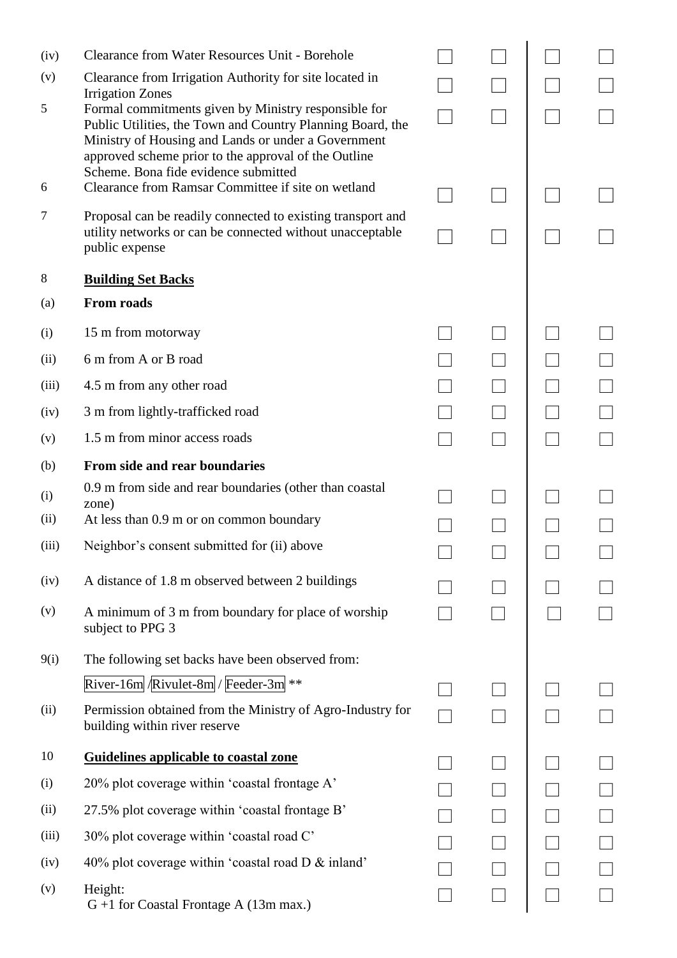| (iv)  | <b>Clearance from Water Resources Unit - Borehole</b>                                                                                                                                                                                                                     |  |  |
|-------|---------------------------------------------------------------------------------------------------------------------------------------------------------------------------------------------------------------------------------------------------------------------------|--|--|
| (v)   | Clearance from Irrigation Authority for site located in<br><b>Irrigation Zones</b>                                                                                                                                                                                        |  |  |
| 5     | Formal commitments given by Ministry responsible for<br>Public Utilities, the Town and Country Planning Board, the<br>Ministry of Housing and Lands or under a Government<br>approved scheme prior to the approval of the Outline<br>Scheme. Bona fide evidence submitted |  |  |
| 6     | Clearance from Ramsar Committee if site on wetland                                                                                                                                                                                                                        |  |  |
| 7     | Proposal can be readily connected to existing transport and<br>utility networks or can be connected without unacceptable<br>public expense                                                                                                                                |  |  |
| 8     | <b>Building Set Backs</b>                                                                                                                                                                                                                                                 |  |  |
| (a)   | <b>From roads</b>                                                                                                                                                                                                                                                         |  |  |
| (i)   | 15 m from motorway                                                                                                                                                                                                                                                        |  |  |
| (ii)  | 6 m from A or B road                                                                                                                                                                                                                                                      |  |  |
| (iii) | 4.5 m from any other road                                                                                                                                                                                                                                                 |  |  |
| (iv)  | 3 m from lightly-trafficked road                                                                                                                                                                                                                                          |  |  |
| (v)   | 1.5 m from minor access roads                                                                                                                                                                                                                                             |  |  |
| (b)   | From side and rear boundaries                                                                                                                                                                                                                                             |  |  |
| (i)   | 0.9 m from side and rear boundaries (other than coastal<br>zone)                                                                                                                                                                                                          |  |  |
| (ii)  | At less than 0.9 m or on common boundary                                                                                                                                                                                                                                  |  |  |
| (iii) | Neighbor's consent submitted for (ii) above                                                                                                                                                                                                                               |  |  |
| (iv)  | A distance of 1.8 m observed between 2 buildings                                                                                                                                                                                                                          |  |  |
| (v)   | A minimum of 3 m from boundary for place of worship<br>subject to PPG 3                                                                                                                                                                                                   |  |  |
| 9(i)  | The following set backs have been observed from:                                                                                                                                                                                                                          |  |  |
|       | River-16m $\left \mathbb{R}[\text{wult-8m}]\right $ Feeder-3m **                                                                                                                                                                                                          |  |  |
| (ii)  | Permission obtained from the Ministry of Agro-Industry for<br>building within river reserve                                                                                                                                                                               |  |  |
| 10    | <b>Guidelines applicable to coastal zone</b>                                                                                                                                                                                                                              |  |  |
| (i)   | 20% plot coverage within 'coastal frontage A'                                                                                                                                                                                                                             |  |  |
| (ii)  | 27.5% plot coverage within 'coastal frontage B'                                                                                                                                                                                                                           |  |  |
| (iii) | 30% plot coverage within 'coastal road C'                                                                                                                                                                                                                                 |  |  |
| (iv)  | 40% plot coverage within 'coastal road D & inland'                                                                                                                                                                                                                        |  |  |
| (v)   | Height:<br>$G + 1$ for Coastal Frontage A (13m max.)                                                                                                                                                                                                                      |  |  |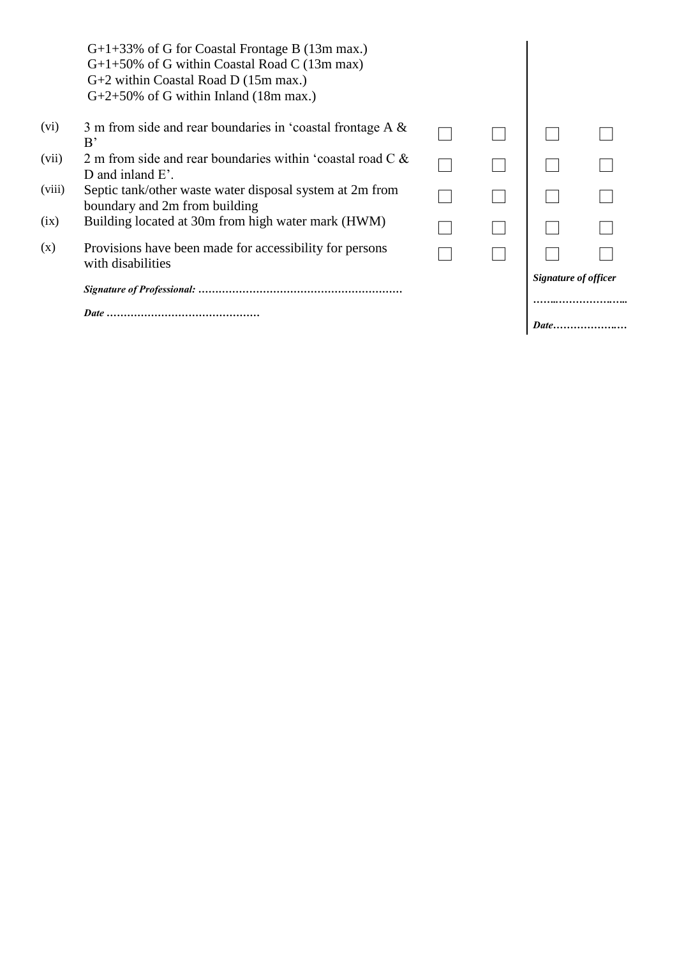|        |                                                                                                                                                                                            |  | Signature of officer |  |
|--------|--------------------------------------------------------------------------------------------------------------------------------------------------------------------------------------------|--|----------------------|--|
| (x)    | Provisions have been made for accessibility for persons<br>with disabilities                                                                                                               |  |                      |  |
| (ix)   | Building located at 30m from high water mark (HWM)                                                                                                                                         |  |                      |  |
| (viii) | Septic tank/other waste water disposal system at 2m from<br>boundary and 2m from building                                                                                                  |  |                      |  |
| (vii)  | 2 m from side and rear boundaries within 'coastal road $C \&$<br>D and inland $E'$ .                                                                                                       |  |                      |  |
| (vi)   | 3 m from side and rear boundaries in 'coastal frontage A &<br>B'                                                                                                                           |  |                      |  |
|        | $G+1+33\%$ of G for Coastal Frontage B (13m max.)<br>$G+1+50\%$ of G within Coastal Road C (13m max)<br>$G+2$ within Coastal Road D (15m max.)<br>$G+2+50\%$ of G within Inland (18m max.) |  |                      |  |
|        |                                                                                                                                                                                            |  |                      |  |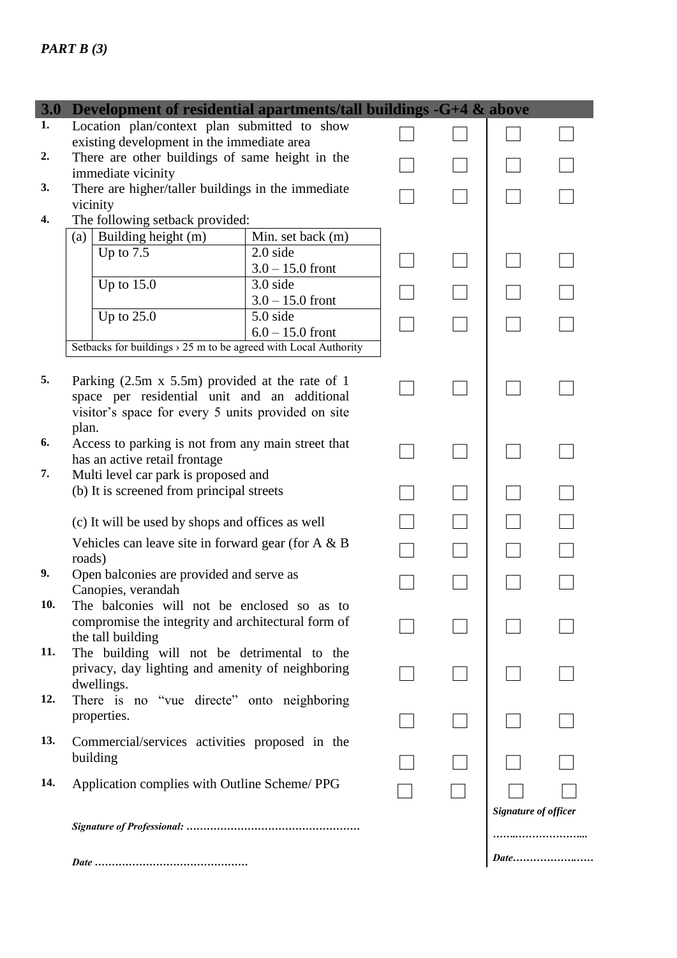### *PART B (3)*

| <b>3.0</b> | Development of residential apartments/tall buildings -G+4 & above                                 |                                |  |  |                      |  |  |
|------------|---------------------------------------------------------------------------------------------------|--------------------------------|--|--|----------------------|--|--|
| 1.         | Location plan/context plan submitted to show                                                      |                                |  |  |                      |  |  |
| 2.         | existing development in the immediate area<br>There are other buildings of same height in the     |                                |  |  |                      |  |  |
|            | immediate vicinity                                                                                |                                |  |  |                      |  |  |
| 3.         | There are higher/taller buildings in the immediate                                                |                                |  |  |                      |  |  |
| 4.         | vicinity<br>The following setback provided:                                                       |                                |  |  |                      |  |  |
|            | Building height (m)<br>(a)                                                                        | Min. set back (m)              |  |  |                      |  |  |
|            | Up to $7.5$                                                                                       | $2.0$ side                     |  |  |                      |  |  |
|            | Up to $15.0$                                                                                      | $3.0 - 15.0$ front<br>3.0 side |  |  |                      |  |  |
|            |                                                                                                   | $3.0 - 15.0$ front             |  |  |                      |  |  |
|            | Up to $25.0$                                                                                      | 5.0 side                       |  |  |                      |  |  |
|            |                                                                                                   | $6.0 - 15.0$ front             |  |  |                      |  |  |
|            | Setbacks for buildings $\rightarrow$ 25 m to be agreed with Local Authority                       |                                |  |  |                      |  |  |
| 5.         | Parking $(2.5m \times 5.5m)$ provided at the rate of 1                                            |                                |  |  |                      |  |  |
|            | space per residential unit and an additional                                                      |                                |  |  |                      |  |  |
|            | visitor's space for every 5 units provided on site                                                |                                |  |  |                      |  |  |
| 6.         | plan.                                                                                             |                                |  |  |                      |  |  |
|            | Access to parking is not from any main street that<br>has an active retail frontage               |                                |  |  |                      |  |  |
| 7.         | Multi level car park is proposed and                                                              |                                |  |  |                      |  |  |
|            | (b) It is screened from principal streets                                                         |                                |  |  |                      |  |  |
|            | (c) It will be used by shops and offices as well                                                  |                                |  |  |                      |  |  |
|            | Vehicles can leave site in forward gear (for $A \& B$                                             |                                |  |  |                      |  |  |
|            | roads)                                                                                            |                                |  |  |                      |  |  |
| 9.         | Open balconies are provided and serve as                                                          |                                |  |  |                      |  |  |
| 10.        | Canopies, verandah                                                                                |                                |  |  |                      |  |  |
|            | The balconies will not be enclosed so as to<br>compromise the integrity and architectural form of |                                |  |  |                      |  |  |
|            | the tall building                                                                                 |                                |  |  |                      |  |  |
| 11.        | The building will not be detrimental to the                                                       |                                |  |  |                      |  |  |
|            | privacy, day lighting and amenity of neighboring<br>dwellings.                                    |                                |  |  |                      |  |  |
| 12.        | There is no "vue directe" onto neighboring                                                        |                                |  |  |                      |  |  |
|            | properties.                                                                                       |                                |  |  |                      |  |  |
| 13.        | Commercial/services activities proposed in the                                                    |                                |  |  |                      |  |  |
|            | building                                                                                          |                                |  |  |                      |  |  |
| 14.        | Application complies with Outline Scheme/PPG                                                      |                                |  |  |                      |  |  |
|            |                                                                                                   |                                |  |  |                      |  |  |
|            |                                                                                                   |                                |  |  | Signature of officer |  |  |
|            |                                                                                                   |                                |  |  |                      |  |  |
|            | <i>Date</i>                                                                                       |                                |  |  |                      |  |  |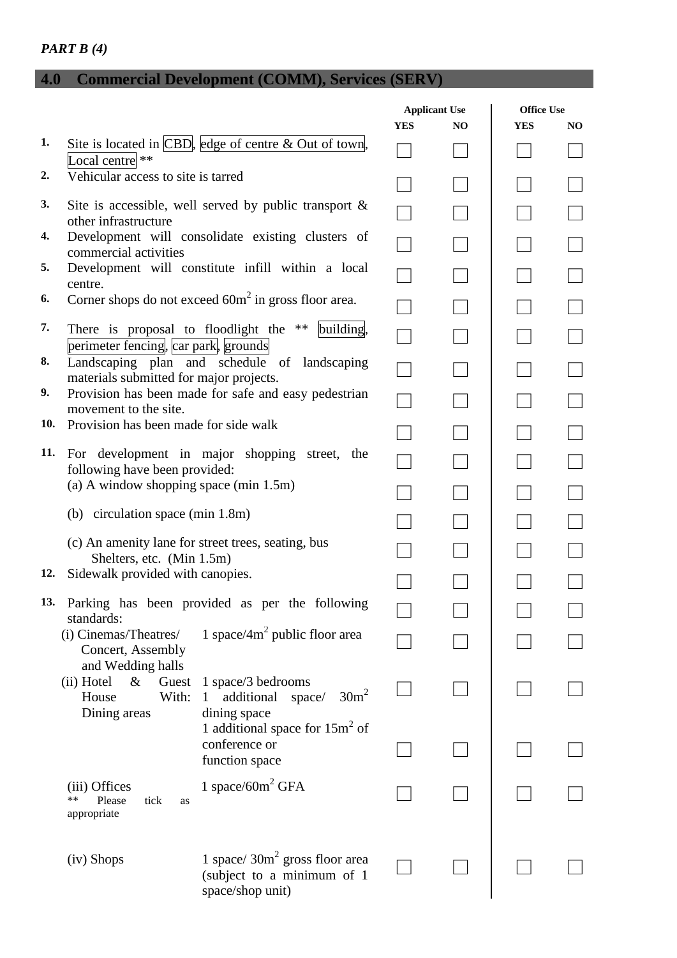## *PART B (4)*

# **4.0 Commercial Development (COMM), Services (SERV)**

|     |                                                                                |                                                                                     | <b>Applicant Use</b> |     | <b>Office Use</b> |     |
|-----|--------------------------------------------------------------------------------|-------------------------------------------------------------------------------------|----------------------|-----|-------------------|-----|
|     |                                                                                |                                                                                     | <b>YES</b>           | NO. | <b>YES</b>        | NO. |
| 1.  | Local centre **                                                                | Site is located in $\vert$ CBD, edge of centre & Out of town,                       |                      |     |                   |     |
| 2.  | Vehicular access to site is tarred                                             |                                                                                     |                      |     |                   |     |
| 3.  | other infrastructure                                                           | Site is accessible, well served by public transport $\&$                            |                      |     |                   |     |
| 4.  | commercial activities                                                          | Development will consolidate existing clusters of                                   |                      |     |                   |     |
| 5.  | centre.                                                                        | Development will constitute infill within a local                                   |                      |     |                   |     |
| 6.  |                                                                                | Corner shops do not exceed $60m^2$ in gross floor area.                             |                      |     |                   |     |
| 7.  | There is proposal to floodlight the **<br>perimeter fencing, car park, grounds | building,                                                                           |                      |     |                   |     |
| 8.  | materials submitted for major projects.                                        | Landscaping plan and schedule of landscaping                                        |                      |     |                   |     |
| 9.  | movement to the site.                                                          | Provision has been made for safe and easy pedestrian                                |                      |     |                   |     |
| 10. | Provision has been made for side walk                                          |                                                                                     |                      |     |                   |     |
| 11. | following have been provided:<br>(a) A window shopping space (min $1.5m$ )     | For development in major shopping street, the                                       |                      |     |                   |     |
|     |                                                                                |                                                                                     |                      |     |                   |     |
|     | (b) circulation space (min 1.8m)                                               |                                                                                     |                      |     |                   |     |
|     | Shelters, etc. (Min 1.5m)                                                      | (c) An amenity lane for street trees, seating, bus                                  |                      |     |                   |     |
| 12. | Sidewalk provided with canopies.                                               |                                                                                     |                      |     |                   |     |
|     | standards:                                                                     | 13. Parking has been provided as per the following                                  |                      |     |                   |     |
|     | (i) Cinemas/Theatres/<br>Concert, Assembly<br>and Wedding halls                | 1 space/4 $m2$ public floor area                                                    |                      |     |                   |     |
|     | (ii) Hotel<br>$\&$<br>Guest<br>House<br>With:<br>Dining areas                  | 1 space/3 bedrooms<br>30m <sup>2</sup><br>additional<br>space/<br>1<br>dining space |                      |     |                   |     |
|     |                                                                                | 1 additional space for $15m2$ of<br>conference or<br>function space                 |                      |     |                   |     |
|     | (iii) Offices<br>**<br>tick<br>Please<br>as<br>appropriate                     | 1 space/60 $m2$ GFA                                                                 |                      |     |                   |     |
|     | (iv) Shops                                                                     | 1 space/ $30m^2$ gross floor area<br>(subject to a minimum of 1<br>space/shop unit) |                      |     |                   |     |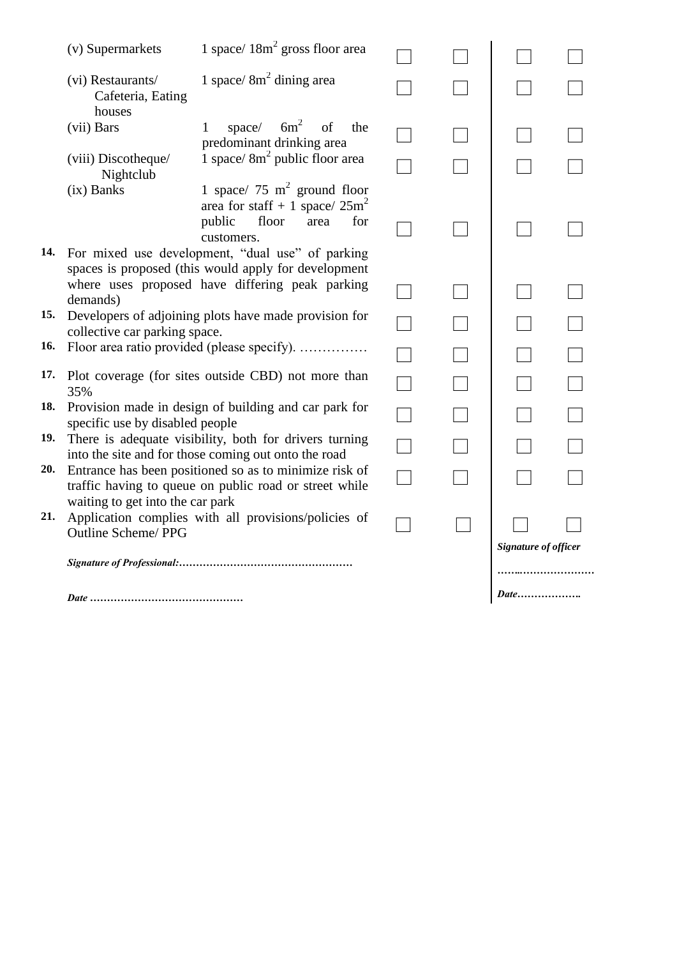|     | (v) Supermarkets                                                                       | 1 space/ $18m^2$ gross floor area                                                                                                                               |  |  |                      |      |  |  |
|-----|----------------------------------------------------------------------------------------|-----------------------------------------------------------------------------------------------------------------------------------------------------------------|--|--|----------------------|------|--|--|
|     | (vi) Restaurants/<br>Cafeteria, Eating<br>houses                                       | 1 space/ $8m2$ dining area                                                                                                                                      |  |  |                      |      |  |  |
|     | (vii) Bars                                                                             | space/ $6m^2$<br>of<br>the<br>1<br>predominant drinking area                                                                                                    |  |  |                      |      |  |  |
|     | (viii) Discotheque/<br>Nightclub                                                       | 1 space/ $8m2$ public floor area                                                                                                                                |  |  |                      |      |  |  |
|     | $(ix)$ Banks                                                                           | 1 space/ 75 $m^2$ ground floor<br>area for staff + 1 space/ $25m^2$<br>public<br>floor<br>for<br>area<br>customers.                                             |  |  |                      |      |  |  |
|     | demands)                                                                               | 14. For mixed use development, "dual use" of parking<br>spaces is proposed (this would apply for development<br>where uses proposed have differing peak parking |  |  |                      |      |  |  |
| 15. | Developers of adjoining plots have made provision for<br>collective car parking space. |                                                                                                                                                                 |  |  |                      |      |  |  |
| 16. | Floor area ratio provided (please specify).                                            |                                                                                                                                                                 |  |  |                      |      |  |  |
|     | 35%                                                                                    | 17. Plot coverage (for sites outside CBD) not more than                                                                                                         |  |  |                      |      |  |  |
| 18. | specific use by disabled people                                                        | Provision made in design of building and car park for                                                                                                           |  |  |                      |      |  |  |
| 19. |                                                                                        | There is adequate visibility, both for drivers turning<br>into the site and for those coming out onto the road                                                  |  |  |                      |      |  |  |
| 20. | waiting to get into the car park                                                       | Entrance has been positioned so as to minimize risk of<br>traffic having to queue on public road or street while                                                |  |  |                      |      |  |  |
| 21. | <b>Outline Scheme/PPG</b>                                                              | Application complies with all provisions/policies of                                                                                                            |  |  | Signature of officer |      |  |  |
|     |                                                                                        |                                                                                                                                                                 |  |  |                      |      |  |  |
|     |                                                                                        |                                                                                                                                                                 |  |  |                      | Date |  |  |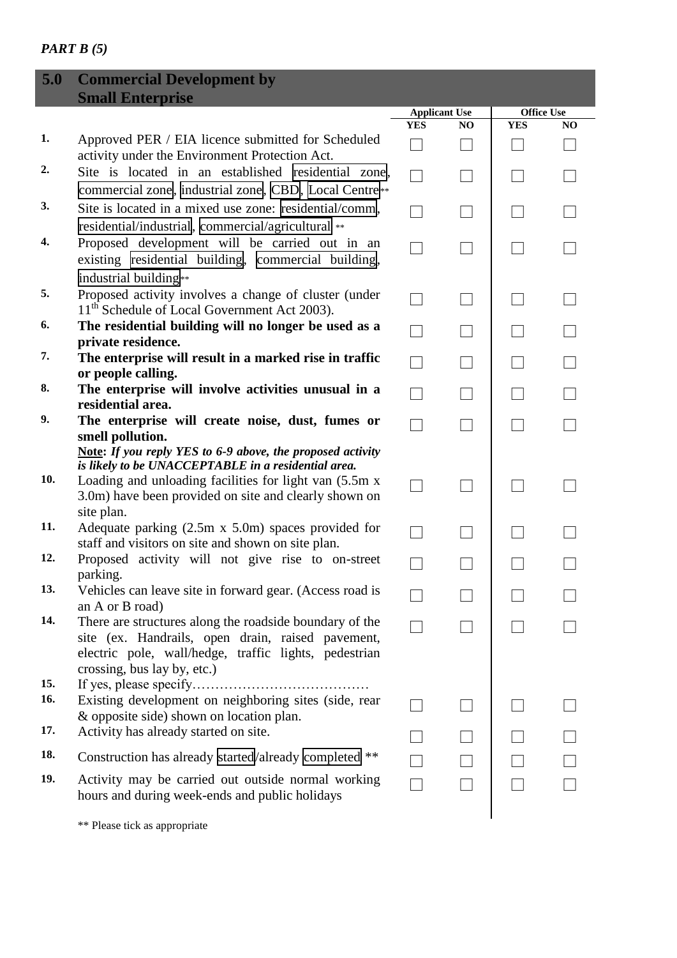### *PART B (5)*

I

| 5.0              | <b>Commercial Development by</b>                                                                                                                                                                                                                          |                                    |                |                                 |    |
|------------------|-----------------------------------------------------------------------------------------------------------------------------------------------------------------------------------------------------------------------------------------------------------|------------------------------------|----------------|---------------------------------|----|
|                  | <b>Small Enterprise</b>                                                                                                                                                                                                                                   |                                    |                |                                 |    |
|                  |                                                                                                                                                                                                                                                           | <b>Applicant Use</b><br><b>YES</b> | N <sub>O</sub> | <b>Office Use</b><br><b>YES</b> | NO |
| 1.               | Approved PER / EIA licence submitted for Scheduled<br>activity under the Environment Protection Act.                                                                                                                                                      |                                    |                |                                 |    |
| $\overline{2}$ . | Site is located in an established residential zone,<br>commercial zone, industrial zone, CBD, Local Centre                                                                                                                                                |                                    |                |                                 |    |
| 3.               | Site is located in a mixed use zone: residential/comm,<br>residential/industrial, commercial/agricultural **                                                                                                                                              |                                    |                |                                 |    |
| 4.               | Proposed development will be carried out in an<br>existing residential building,<br>commercial building,                                                                                                                                                  |                                    |                |                                 |    |
| 5.               | industrial building**<br>Proposed activity involves a change of cluster (under<br>11 <sup>th</sup> Schedule of Local Government Act 2003).                                                                                                                |                                    |                |                                 |    |
| 6.               | The residential building will no longer be used as a<br>private residence.                                                                                                                                                                                |                                    |                |                                 |    |
| 7.               | The enterprise will result in a marked rise in traffic<br>or people calling.                                                                                                                                                                              |                                    |                |                                 |    |
| 8.               | The enterprise will involve activities unusual in a<br>residential area.                                                                                                                                                                                  |                                    |                |                                 |    |
| 9.               | The enterprise will create noise, dust, fumes or<br>smell pollution.                                                                                                                                                                                      |                                    |                |                                 |    |
| 10.              | <b>Note:</b> If you reply YES to 6-9 above, the proposed activity<br>is likely to be UNACCEPTABLE in a residential area.<br>Loading and unloading facilities for light van (5.5m x<br>3.0m) have been provided on site and clearly shown on<br>site plan. |                                    |                |                                 |    |
| 11.              | Adequate parking $(2.5m \times 5.0m)$ spaces provided for<br>staff and visitors on site and shown on site plan.                                                                                                                                           |                                    |                |                                 |    |
| 12.              | Proposed activity will not give rise to on-street<br>parking.                                                                                                                                                                                             |                                    |                |                                 |    |
| 13.              | Vehicles can leave site in forward gear. (Access road is<br>an A or B road)                                                                                                                                                                               |                                    |                |                                 |    |
| 14.              | There are structures along the roadside boundary of the<br>site (ex. Handrails, open drain, raised pavement,<br>electric pole, wall/hedge, traffic lights, pedestrian<br>crossing, bus lay by, etc.)                                                      |                                    |                |                                 |    |
| 15.<br>16.       | Existing development on neighboring sites (side, rear<br>& opposite side) shown on location plan.                                                                                                                                                         |                                    |                |                                 |    |
| 17.              | Activity has already started on site.                                                                                                                                                                                                                     |                                    |                |                                 |    |
| 18.              | Construction has already started/already completed **                                                                                                                                                                                                     |                                    |                |                                 |    |
| 19.              | Activity may be carried out outside normal working<br>hours and during week-ends and public holidays                                                                                                                                                      |                                    |                |                                 |    |

\*\* Please tick as appropriate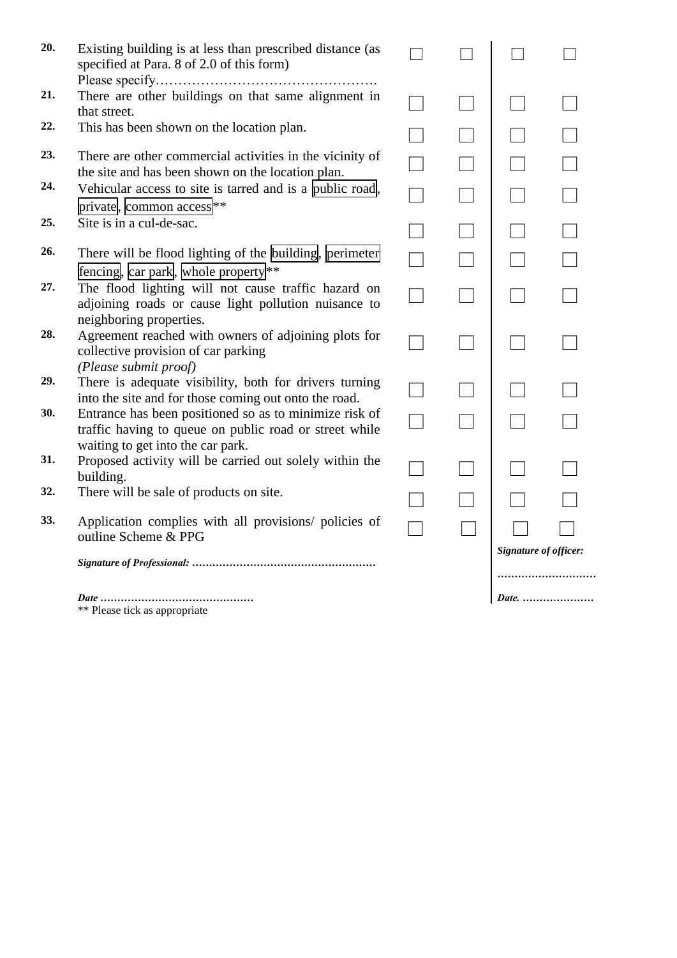| 20. | Existing building is at less than prescribed distance (as<br>specified at Para. 8 of 2.0 of this form)                                                |  |                              |       |
|-----|-------------------------------------------------------------------------------------------------------------------------------------------------------|--|------------------------------|-------|
| 21. | There are other buildings on that same alignment in<br>that street.                                                                                   |  |                              |       |
| 22. | This has been shown on the location plan.                                                                                                             |  |                              |       |
| 23. | There are other commercial activities in the vicinity of<br>the site and has been shown on the location plan.                                         |  |                              |       |
| 24. | Vehicular access to site is tarred and is a public road,<br>private, common access <sup>**</sup>                                                      |  |                              |       |
| 25. | Site is in a cul-de-sac.                                                                                                                              |  |                              |       |
| 26. | There will be flood lighting of the building, perimeter<br>fencing, $\vert$ car park, whole property $\vert \cdot \vert$                              |  |                              |       |
| 27. | The flood lighting will not cause traffic hazard on<br>adjoining roads or cause light pollution nuisance to                                           |  |                              |       |
| 28. | neighboring properties.<br>Agreement reached with owners of adjoining plots for<br>collective provision of car parking<br>(Please submit proof)       |  |                              |       |
| 29. | There is adequate visibility, both for drivers turning<br>into the site and for those coming out onto the road.                                       |  |                              |       |
| 30. | Entrance has been positioned so as to minimize risk of<br>traffic having to queue on public road or street while<br>waiting to get into the car park. |  |                              |       |
| 31. | Proposed activity will be carried out solely within the<br>building.                                                                                  |  |                              |       |
| 32. | There will be sale of products on site.                                                                                                               |  |                              |       |
| 33. | Application complies with all provisions/ policies of<br>outline Scheme & PPG                                                                         |  |                              |       |
|     |                                                                                                                                                       |  | <b>Signature of officer:</b> |       |
|     |                                                                                                                                                       |  |                              |       |
|     | ** Please tick as appropriate                                                                                                                         |  |                              | Date. |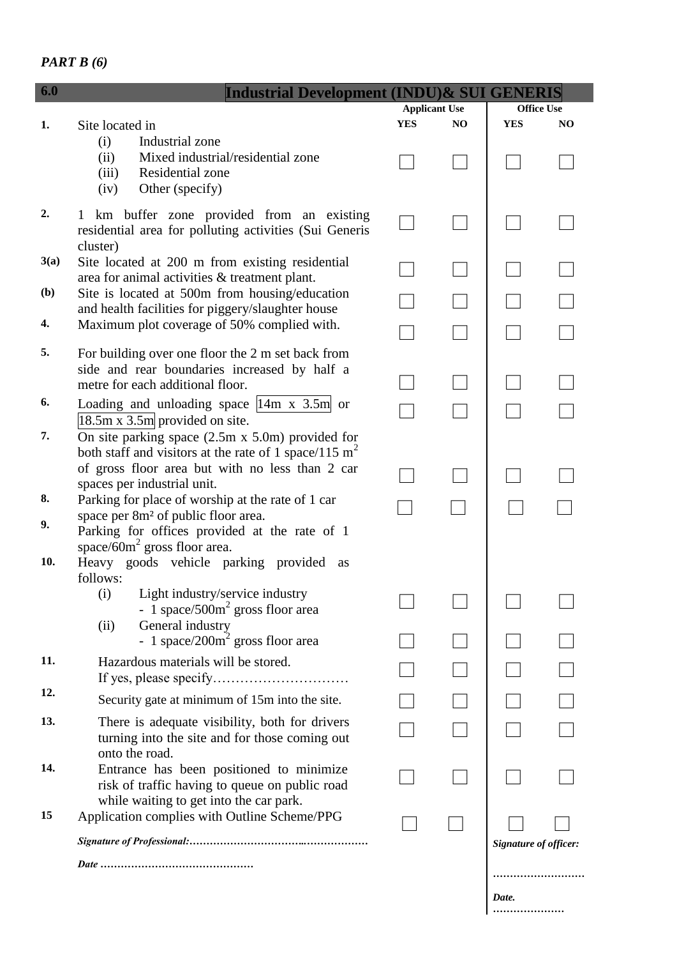```
PART B (6)
```

| 6.0  | Industrial Development (INDU)& SUI GENERIS              |            |                      |                       |                |
|------|---------------------------------------------------------|------------|----------------------|-----------------------|----------------|
|      |                                                         |            | <b>Applicant Use</b> | <b>Office Use</b>     |                |
| 1.   | Site located in                                         | <b>YES</b> | NO                   | <b>YES</b>            | N <sub>O</sub> |
|      | Industrial zone<br>(i)                                  |            |                      |                       |                |
|      | (ii)<br>Mixed industrial/residential zone               |            |                      |                       |                |
|      | Residential zone<br>(iii)                               |            |                      |                       |                |
|      | Other (specify)<br>(iv)                                 |            |                      |                       |                |
| 2.   |                                                         |            |                      |                       |                |
|      | km buffer zone provided from an existing<br>1           |            |                      |                       |                |
|      | residential area for polluting activities (Sui Generis  |            |                      |                       |                |
|      | cluster)                                                |            |                      |                       |                |
| 3(a) | Site located at 200 m from existing residential         |            |                      |                       |                |
|      | area for animal activities & treatment plant.           |            |                      |                       |                |
| (b)  | Site is located at 500m from housing/education          |            |                      |                       |                |
|      | and health facilities for piggery/slaughter house       |            |                      |                       |                |
| 4.   | Maximum plot coverage of 50% complied with.             |            |                      |                       |                |
| 5.   |                                                         |            |                      |                       |                |
|      | For building over one floor the 2 m set back from       |            |                      |                       |                |
|      | side and rear boundaries increased by half a            |            |                      |                       |                |
|      | metre for each additional floor.                        |            |                      |                       |                |
| 6.   | Loading and unloading space $ 14m \times 3.5m $ or      |            |                      |                       |                |
|      | $18.5m \times 3.5m$ provided on site.                   |            |                      |                       |                |
| 7.   | On site parking space $(2.5m \times 5.0m)$ provided for |            |                      |                       |                |
|      | both staff and visitors at the rate of 1 space/115 $m2$ |            |                      |                       |                |
|      | of gross floor area but with no less than 2 car         |            |                      |                       |                |
|      | spaces per industrial unit.                             |            |                      |                       |                |
| 8.   | Parking for place of worship at the rate of 1 car       |            |                      |                       |                |
|      | space per 8m <sup>2</sup> of public floor area.         |            |                      |                       |                |
| 9.   | Parking for offices provided at the rate of 1           |            |                      |                       |                |
|      | space/60 $m2$ gross floor area.                         |            |                      |                       |                |
| 10.  | Heavy goods vehicle parking provided<br>as              |            |                      |                       |                |
|      | follows:                                                |            |                      |                       |                |
|      | Light industry/service industry<br>(i)                  |            |                      |                       |                |
|      | - 1 space/500 $m2$ gross floor area                     |            |                      |                       |                |
|      | General industry<br>(ii)                                |            |                      |                       |                |
|      | - 1 space/200 $m2$ gross floor area                     |            |                      |                       |                |
| 11.  |                                                         |            |                      |                       |                |
|      | Hazardous materials will be stored.                     |            |                      |                       |                |
| 12.  |                                                         |            |                      |                       |                |
|      | Security gate at minimum of 15m into the site.          |            |                      |                       |                |
| 13.  | There is adequate visibility, both for drivers          |            |                      |                       |                |
|      | turning into the site and for those coming out          |            |                      |                       |                |
|      | onto the road.                                          |            |                      |                       |                |
| 14.  | Entrance has been positioned to minimize                |            |                      |                       |                |
|      | risk of traffic having to queue on public road          |            |                      |                       |                |
|      | while waiting to get into the car park.                 |            |                      |                       |                |
| 15   | Application complies with Outline Scheme/PPG            |            |                      |                       |                |
|      |                                                         |            |                      |                       |                |
|      |                                                         |            |                      | Signature of officer: |                |
|      |                                                         |            |                      |                       |                |
|      |                                                         |            |                      |                       |                |
|      |                                                         |            |                      | Date.                 |                |
|      |                                                         |            |                      |                       |                |
|      |                                                         |            |                      |                       |                |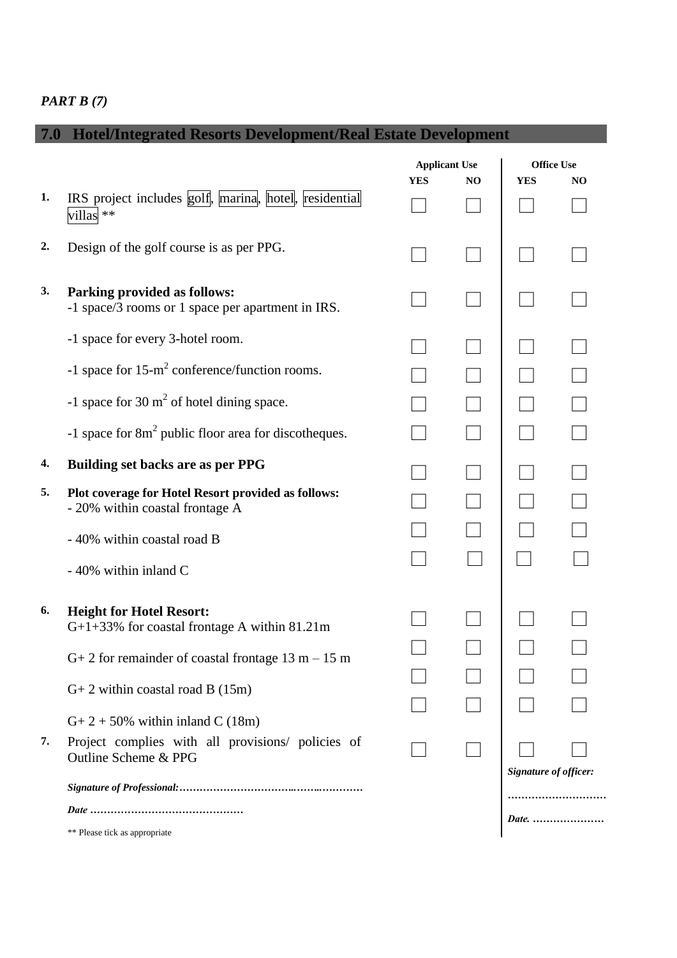### *PART B (7)*

# **7.0 Hotel/Integrated Resorts Development/Real Estate Development**

|    |                                                                                        |            | <b>Applicant Use</b> |                       | <b>Office Use</b> |  |
|----|----------------------------------------------------------------------------------------|------------|----------------------|-----------------------|-------------------|--|
|    |                                                                                        | <b>YES</b> | NO                   | <b>YES</b>            | NO.               |  |
| 1. | IRS project includes golf, marina, hotel, residential<br>villas <sup>**</sup>          |            |                      |                       |                   |  |
| 2. | Design of the golf course is as per PPG.                                               |            |                      |                       |                   |  |
| 3. | Parking provided as follows:<br>-1 space/3 rooms or 1 space per apartment in IRS.      |            |                      |                       |                   |  |
|    | -1 space for every 3-hotel room.                                                       |            |                      |                       |                   |  |
|    | -1 space for $15 \text{-} m^2$ conference/function rooms.                              |            |                      |                       |                   |  |
|    | -1 space for 30 $m2$ of hotel dining space.                                            |            |                      |                       |                   |  |
|    | -1 space for $8m^2$ public floor area for discotheques.                                |            |                      |                       |                   |  |
| 4. | <b>Building set backs are as per PPG</b>                                               |            |                      |                       |                   |  |
| 5. | Plot coverage for Hotel Resort provided as follows:<br>- 20% within coastal frontage A |            |                      |                       |                   |  |
|    | - 40% within coastal road B                                                            |            |                      |                       |                   |  |
|    | - 40% within inland C                                                                  |            |                      |                       |                   |  |
| 6. | <b>Height for Hotel Resort:</b>                                                        |            |                      |                       |                   |  |
|    | G+1+33% for coastal frontage A within 81.21m                                           |            |                      |                       |                   |  |
|    | $G+2$ for remainder of coastal frontage 13 m – 15 m                                    |            |                      |                       |                   |  |
|    | $G+2$ within coastal road B (15m)                                                      |            |                      |                       |                   |  |
|    | $G+2+50\%$ within inland C (18m)                                                       |            |                      |                       |                   |  |
| 7. | Project complies with all provisions/ policies of<br>Outline Scheme & PPG              |            |                      |                       |                   |  |
|    |                                                                                        |            |                      | Signature of officer: |                   |  |
|    |                                                                                        |            |                      | <i>Date.</i>          |                   |  |
|    | ** Please tick as appropriate                                                          |            |                      |                       |                   |  |